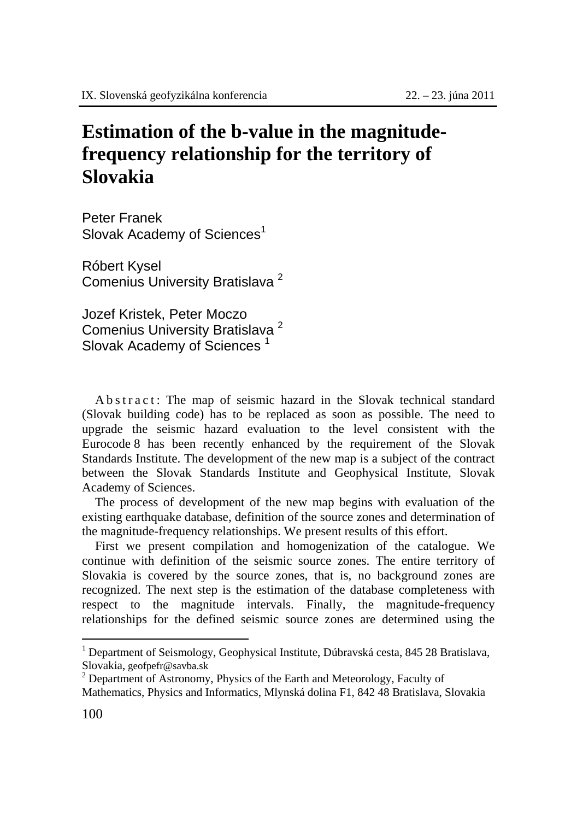## **Estimation of the b-value in the magnitudefrequency relationship for the territory of Slovakia**

Peter Franek Slovak Academy of Sciences<sup>1</sup>

Róbert Kysel Comenius University Bratislava <sup>2</sup>

Jozef Kristek, Peter Moczo Comenius University Bratislava <sup>2</sup> Slovak Academy of Sciences<sup>1</sup>

A b s t r a c t : The map of seismic hazard in the Slovak technical standard (Slovak building code) has to be replaced as soon as possible. The need to upgrade the seismic hazard evaluation to the level consistent with the Eurocode 8 has been recently enhanced by the requirement of the Slovak Standards Institute. The development of the new map is a subject of the contract between the Slovak Standards Institute and Geophysical Institute, Slovak Academy of Sciences.

The process of development of the new map begins with evaluation of the existing earthquake database, definition of the source zones and determination of the magnitude-frequency relationships. We present results of this effort.

First we present compilation and homogenization of the catalogue. We continue with definition of the seismic source zones. The entire territory of Slovakia is covered by the source zones, that is, no background zones are recognized. The next step is the estimation of the database completeness with respect to the magnitude intervals. Finally, the magnitude-frequency relationships for the defined seismic source zones are determined using the

 $\overline{a}$ 

<sup>&</sup>lt;sup>1</sup> Department of Seismology, Geophysical Institute, Dúbravská cesta, 845 28 Bratislava, Slovakia, geofpefr@savba.sk <sup>2</sup>

 $2$  Department of Astronomy, Physics of the Earth and Meteorology, Faculty of Mathematics, Physics and Informatics, Mlynská dolina F1, 842 48 Bratislava, Slovakia